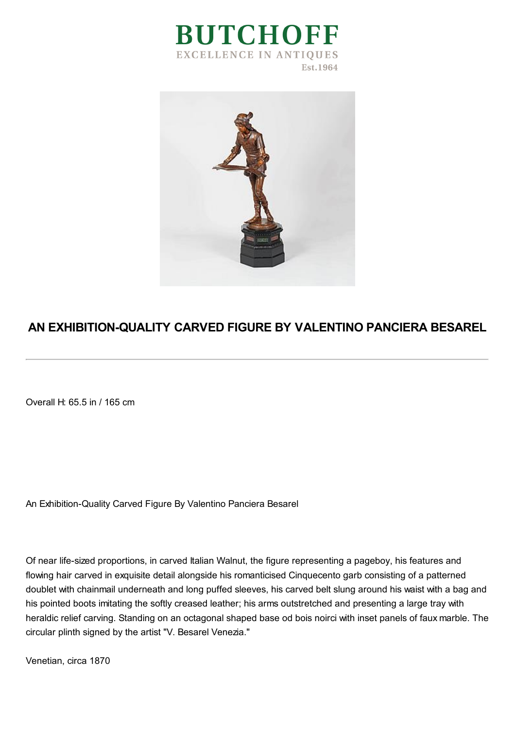



## **AN EXHIBITION-QUALITY CARVED FIGURE BY VALENTINO PANCIERA BESAREL**

Overall H: 65.5 in / 165 cm

An Exhibition-Quality Carved Figure By Valentino Panciera Besarel

Of near life-sized proportions, in carved Italian Walnut, the figure representing a pageboy, his features and flowing hair carved in exquisite detail alongside his romanticised Cinquecento garb consisting of a patterned doublet with chainmail underneath and long puffed sleeves, his carved belt slung around his waist with a bag and his pointed boots imitating the softly creased leather; his arms outstretched and presenting a large tray with heraldic relief carving. Standing on an octagonal shaped base od bois noirci with inset panels of faux marble. The circular plinth signed by the artist "V. Besarel Venezia."

Venetian, circa 1870